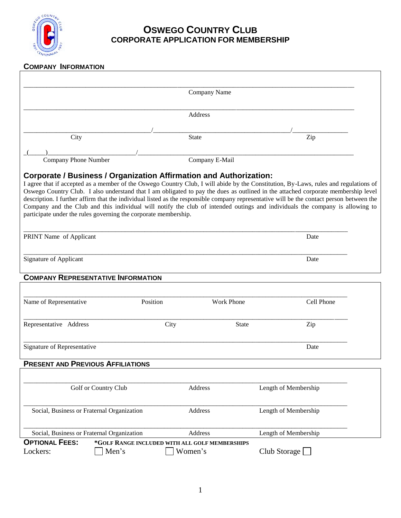

## **OSWEGO COUNTRY CLUB CORPORATE APPLICATION FOR MEMBERSHIP**

## **COMPANY INFORMATION**

|                                                                                                                                                                                                                                                                                                                                                                                                                                                                                                                                                                                                                                                                                                        | Company Name                                              |                   |                      |
|--------------------------------------------------------------------------------------------------------------------------------------------------------------------------------------------------------------------------------------------------------------------------------------------------------------------------------------------------------------------------------------------------------------------------------------------------------------------------------------------------------------------------------------------------------------------------------------------------------------------------------------------------------------------------------------------------------|-----------------------------------------------------------|-------------------|----------------------|
|                                                                                                                                                                                                                                                                                                                                                                                                                                                                                                                                                                                                                                                                                                        | <b>Address</b>                                            |                   |                      |
| City                                                                                                                                                                                                                                                                                                                                                                                                                                                                                                                                                                                                                                                                                                   | <b>State</b>                                              |                   | Zip                  |
| Company Phone Number                                                                                                                                                                                                                                                                                                                                                                                                                                                                                                                                                                                                                                                                                   | Company E-Mail                                            |                   |                      |
| <b>Corporate / Business / Organization Affirmation and Authorization:</b><br>I agree that if accepted as a member of the Oswego Country Club, I will abide by the Constitution, By-Laws, rules and regulations of<br>Oswego Country Club. I also understand that I am obligated to pay the dues as outlined in the attached corporate membership level<br>description. I further affirm that the individual listed as the responsible company representative will be the contact person between the<br>Company and the Club and this individual will notify the club of intended outings and individuals the company is allowing to<br>participate under the rules governing the corporate membership. |                                                           |                   |                      |
| PRINT Name of Applicant                                                                                                                                                                                                                                                                                                                                                                                                                                                                                                                                                                                                                                                                                |                                                           |                   | Date                 |
| <b>Signature of Applicant</b>                                                                                                                                                                                                                                                                                                                                                                                                                                                                                                                                                                                                                                                                          |                                                           |                   | Date                 |
| <b>COMPANY REPRESENTATIVE INFORMATION</b>                                                                                                                                                                                                                                                                                                                                                                                                                                                                                                                                                                                                                                                              |                                                           |                   |                      |
| Name of Representative<br>Position                                                                                                                                                                                                                                                                                                                                                                                                                                                                                                                                                                                                                                                                     |                                                           | <b>Work Phone</b> | Cell Phone           |
| Representative Address                                                                                                                                                                                                                                                                                                                                                                                                                                                                                                                                                                                                                                                                                 | City                                                      | <b>State</b>      | Zip                  |
| Signature of Representative                                                                                                                                                                                                                                                                                                                                                                                                                                                                                                                                                                                                                                                                            |                                                           |                   | Date                 |
| <b>PRESENT AND PREVIOUS AFFILIATIONS</b>                                                                                                                                                                                                                                                                                                                                                                                                                                                                                                                                                                                                                                                               |                                                           |                   |                      |
| Golf or Country Club                                                                                                                                                                                                                                                                                                                                                                                                                                                                                                                                                                                                                                                                                   | Address                                                   |                   | Length of Membership |
| Social, Business or Fraternal Organization                                                                                                                                                                                                                                                                                                                                                                                                                                                                                                                                                                                                                                                             | Address                                                   |                   | Length of Membership |
| Social, Business or Fraternal Organization                                                                                                                                                                                                                                                                                                                                                                                                                                                                                                                                                                                                                                                             | Address                                                   |                   | Length of Membership |
| <b>OPTIONAL FEES:</b><br>Lockers:<br>Men's                                                                                                                                                                                                                                                                                                                                                                                                                                                                                                                                                                                                                                                             | *GOLF RANGE INCLUDED WITH ALL GOLF MEMBERSHIPS<br>Women's |                   | Club Storage         |